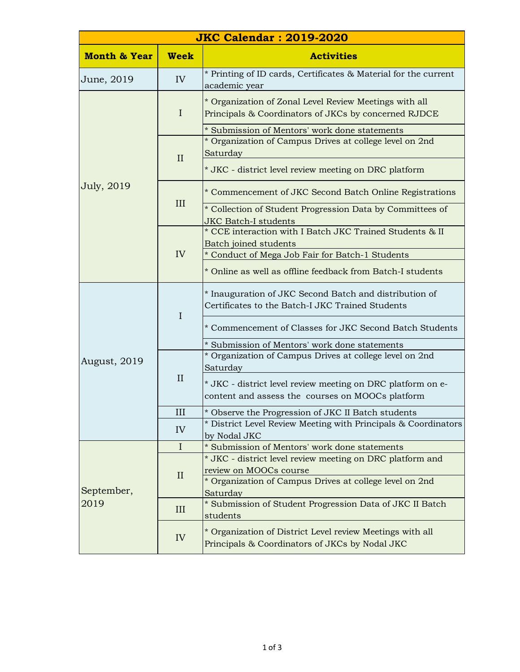| <b>JKC Calendar: 2019-2020</b> |              |                                                                                                                                                |  |  |
|--------------------------------|--------------|------------------------------------------------------------------------------------------------------------------------------------------------|--|--|
| <b>Month &amp; Year</b>        | <b>Week</b>  | <b>Activities</b>                                                                                                                              |  |  |
| June, 2019                     | IV           | * Printing of ID cards, Certificates & Material for the current<br>academic year                                                               |  |  |
| July, 2019                     | $\mathbf{I}$ | * Organization of Zonal Level Review Meetings with all<br>Principals & Coordinators of JKCs by concerned RJDCE                                 |  |  |
|                                | II           | * Submission of Mentors' work done statements<br>* Organization of Campus Drives at college level on 2nd<br>Saturday                           |  |  |
|                                |              | * JKC - district level review meeting on DRC platform                                                                                          |  |  |
|                                | III          | * Commencement of JKC Second Batch Online Registrations                                                                                        |  |  |
|                                |              | * Collection of Student Progression Data by Committees of<br><b>JKC Batch-I students</b>                                                       |  |  |
|                                | IV           | * CCE interaction with I Batch JKC Trained Students & II<br>Batch joined students                                                              |  |  |
|                                |              | * Conduct of Mega Job Fair for Batch-1 Students                                                                                                |  |  |
|                                |              | * Online as well as offline feedback from Batch-I students                                                                                     |  |  |
|                                | $\mathbf I$  | * Inauguration of JKC Second Batch and distribution of<br>Certificates to the Batch-I JKC Trained Students                                     |  |  |
|                                |              | * Commencement of Classes for JKC Second Batch Students                                                                                        |  |  |
|                                |              | * Submission of Mentors' work done statements                                                                                                  |  |  |
| August, 2019                   | $\mathbf{I}$ | * Organization of Campus Drives at college level on 2nd<br>Saturday                                                                            |  |  |
|                                |              | * JKC - district level review meeting on DRC platform on e-<br>content and assess the courses on MOOCs platform                                |  |  |
|                                | III          | * Observe the Progression of JKC II Batch students                                                                                             |  |  |
|                                | IV           | * District Level Review Meeting with Principals & Coordinators<br>by Nodal JKC                                                                 |  |  |
|                                | $\mathbf I$  | * Submission of Mentors' work done statements                                                                                                  |  |  |
| September,<br>2019             | $\mathbf{I}$ | * JKC - district level review meeting on DRC platform and<br>review on MOOCs course<br>* Organization of Campus Drives at college level on 2nd |  |  |
|                                | III          | Saturday<br>* Submission of Student Progression Data of JKC II Batch<br>students                                                               |  |  |
|                                | IV           | * Organization of District Level review Meetings with all<br>Principals & Coordinators of JKCs by Nodal JKC                                    |  |  |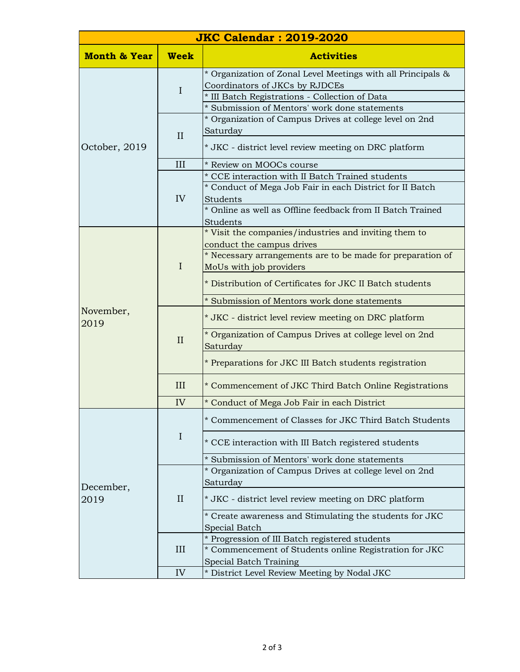| <b>JKC Calendar: 2019-2020</b> |              |                                                                                                 |  |  |  |
|--------------------------------|--------------|-------------------------------------------------------------------------------------------------|--|--|--|
| <b>Month &amp; Year</b>        | <b>Week</b>  | <b>Activities</b>                                                                               |  |  |  |
| October, 2019                  | $\mathbf I$  | * Organization of Zonal Level Meetings with all Principals &                                    |  |  |  |
|                                |              | Coordinators of JKCs by RJDCEs                                                                  |  |  |  |
|                                |              | * III Batch Registrations - Collection of Data<br>* Submission of Mentors' work done statements |  |  |  |
|                                | II           | * Organization of Campus Drives at college level on 2nd                                         |  |  |  |
|                                |              | Saturday                                                                                        |  |  |  |
|                                |              | * JKC - district level review meeting on DRC platform                                           |  |  |  |
|                                | III          | * Review on MOOCs course                                                                        |  |  |  |
|                                | IV           | * CCE interaction with II Batch Trained students                                                |  |  |  |
|                                |              | * Conduct of Mega Job Fair in each District for II Batch                                        |  |  |  |
|                                |              | Students                                                                                        |  |  |  |
|                                |              | * Online as well as Offline feedback from II Batch Trained                                      |  |  |  |
|                                |              | Students                                                                                        |  |  |  |
|                                | $\mathbf I$  | * Visit the companies/industries and inviting them to                                           |  |  |  |
|                                |              | conduct the campus drives<br>* Necessary arrangements are to be made for preparation of         |  |  |  |
|                                |              | MoUs with job providers                                                                         |  |  |  |
|                                |              |                                                                                                 |  |  |  |
|                                |              | * Distribution of Certificates for JKC II Batch students                                        |  |  |  |
|                                |              | * Submission of Mentors work done statements                                                    |  |  |  |
| November,<br>2019              | $\mathbf{I}$ | * JKC - district level review meeting on DRC platform                                           |  |  |  |
|                                |              | * Organization of Campus Drives at college level on 2nd                                         |  |  |  |
|                                |              | Saturday                                                                                        |  |  |  |
|                                |              | * Preparations for JKC III Batch students registration                                          |  |  |  |
|                                | III          | * Commencement of JKC Third Batch Online Registrations                                          |  |  |  |
|                                | IV           | * Conduct of Mega Job Fair in each District                                                     |  |  |  |
|                                | $\mathbf I$  | * Commencement of Classes for JKC Third Batch Students                                          |  |  |  |
|                                |              | * CCE interaction with III Batch registered students                                            |  |  |  |
|                                |              | * Submission of Mentors' work done statements                                                   |  |  |  |
|                                | $\rm II$     | * Organization of Campus Drives at college level on 2nd                                         |  |  |  |
| December,                      |              | Saturday                                                                                        |  |  |  |
| 2019                           |              | * JKC - district level review meeting on DRC platform                                           |  |  |  |
|                                |              | * Create awareness and Stimulating the students for JKC                                         |  |  |  |
|                                |              | Special Batch                                                                                   |  |  |  |
|                                | III          | * Progression of III Batch registered students                                                  |  |  |  |
|                                |              | * Commencement of Students online Registration for JKC                                          |  |  |  |
|                                | IV           | Special Batch Training<br>* District Level Review Meeting by Nodal JKC                          |  |  |  |
|                                |              |                                                                                                 |  |  |  |